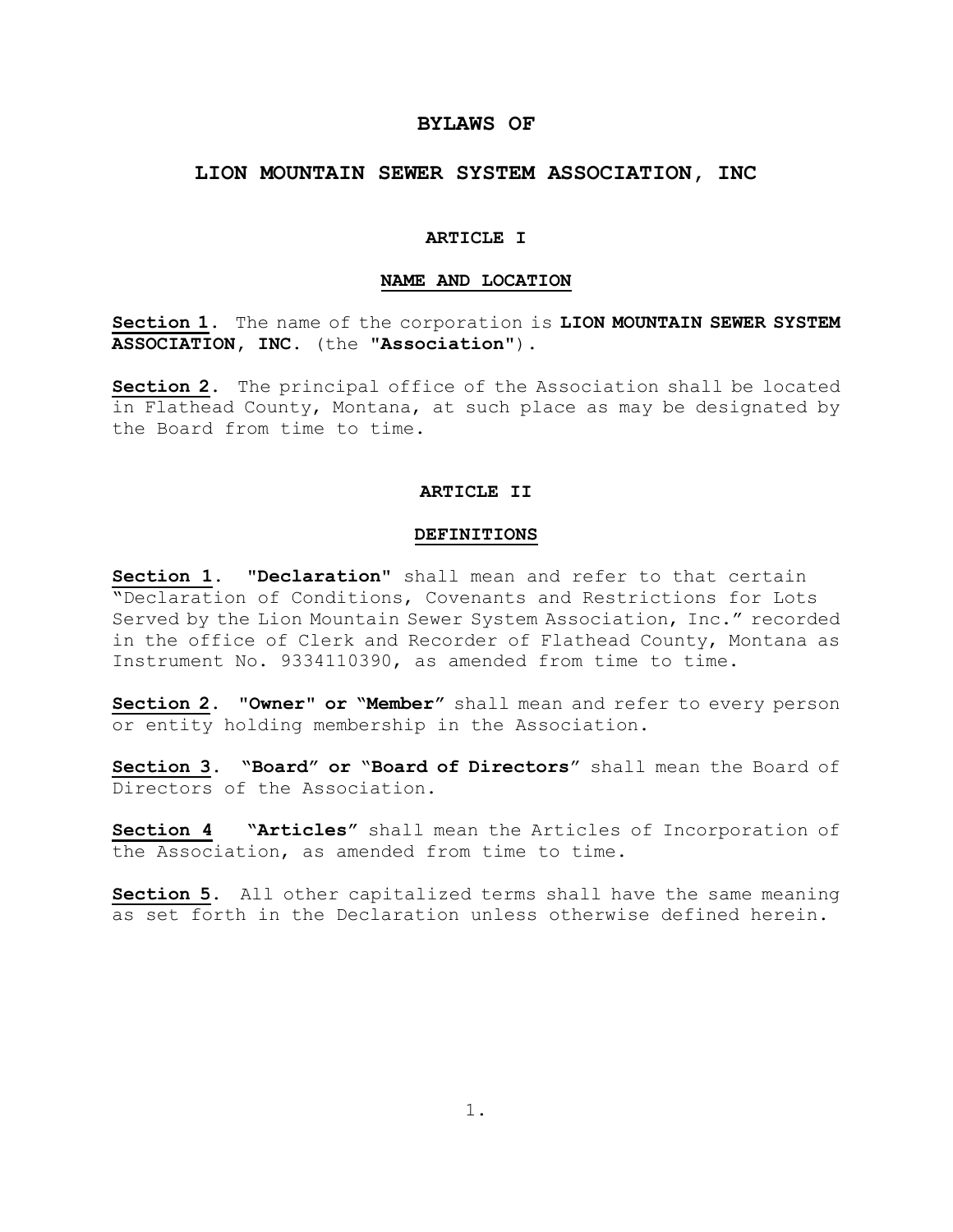# **BYLAWS OF**

# **LION MOUNTAIN SEWER SYSTEM ASSOCIATION, INC**

#### **ARTICLE I**

### **NAME AND LOCATION**

**Section 1**. The name of the corporation is **LION MOUNTAIN SEWER SYSTEM ASSOCIATION, INC.** (the "**Association**").

**Section 2**. The principal office of the Association shall be located in Flathead County, Montana, at such place as may be designated by the Board from time to time.

# **ARTICLE II**

#### **DEFINITIONS**

**Section 1**. "**Declaration**" shall mean and refer to that certain "Declaration of Conditions, Covenants and Restrictions for Lots Served by the Lion Mountain Sewer System Association, Inc." recorded in the office of Clerk and Recorder of Flathead County, Montana as Instrument No. 9334110390, as amended from time to time.

**Section 2**. "**Owner**" **or "Member"** shall mean and refer to every person or entity holding membership in the Association.

**Section 3**. **"Board" or** "**Board of Directors**" shall mean the Board of Directors of the Association.

**Section 4 "Articles"** shall mean the Articles of Incorporation of the Association, as amended from time to time.

**Section 5**. All other capitalized terms shall have the same meaning as set forth in the Declaration unless otherwise defined herein.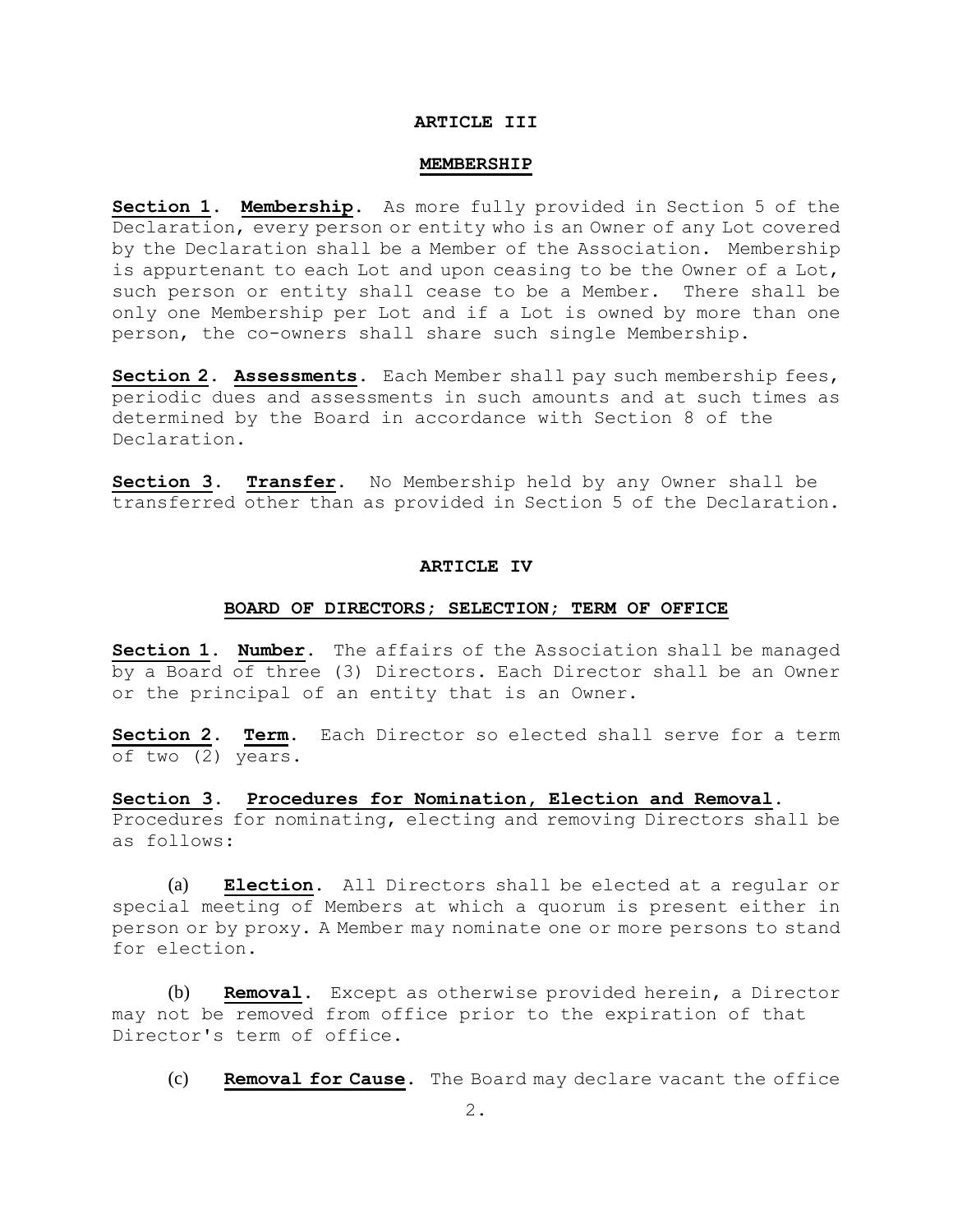### **ARTICLE III**

#### **MEMBERSHIP**

**Section 1**. **Membership**. As more fully provided in Section 5 of the Declaration, every person or entity who is an Owner of any Lot covered by the Declaration shall be a Member of the Association. Membership is appurtenant to each Lot and upon ceasing to be the Owner of a Lot, such person or entity shall cease to be a Member. There shall be only one Membership per Lot and if a Lot is owned by more than one person, the co-owners shall share such single Membership.

**Section 2**. **Assessments**. Each Member shall pay such membership fees, periodic dues and assessments in such amounts and at such times as determined by the Board in accordance with Section 8 of the Declaration.

**Section 3**. **Transfer**. No Membership held by any Owner shall be transferred other than as provided in Section 5 of the Declaration.

#### **ARTICLE IV**

### **BOARD OF DIRECTORS; SELECTION; TERM OF OFFICE**

**Section 1**. **Number**. The affairs of the Association shall be managed by a Board of three (3) Directors. Each Director shall be an Owner or the principal of an entity that is an Owner.

**Section 2**. **Term**. Each Director so elected shall serve for a term of two (2) years.

**Section 3**. **Procedures for Nomination, Election and Removal**. Procedures for nominating, electing and removing Directors shall be as follows:

(a) **Election**. All Directors shall be elected at a regular or special meeting of Members at which a quorum is present either in person or by proxy. A Member may nominate one or more persons to stand for election.

(b) **Removal**. Except as otherwise provided herein, a Director may not be removed from office prior to the expiration of that Director's term of office.

(c) **Removal for Cause**. The Board may declare vacant the office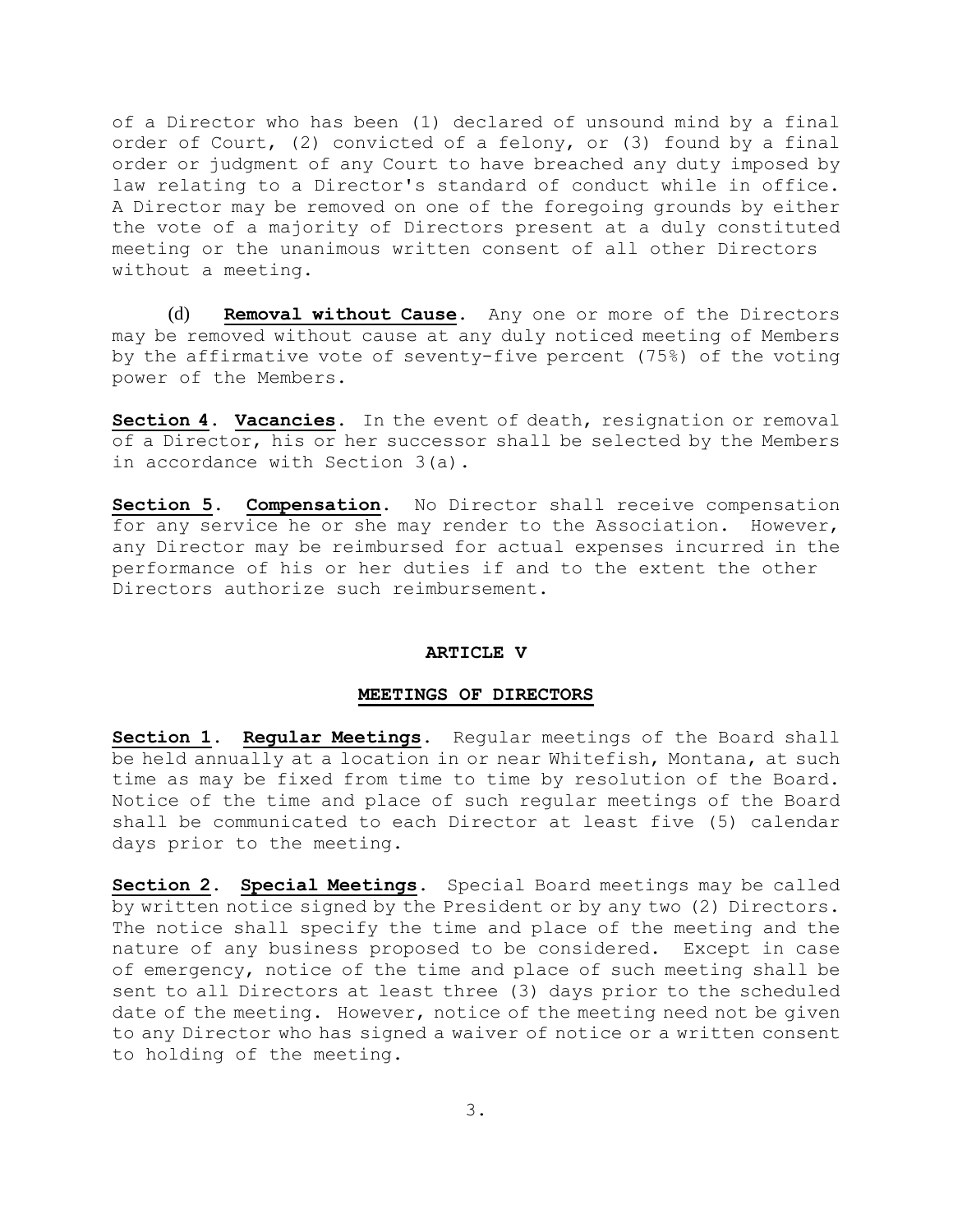of a Director who has been (1) declared of unsound mind by a final order of Court, (2) convicted of a felony, or (3) found by a final order or judgment of any Court to have breached any duty imposed by law relating to a Director's standard of conduct while in office. A Director may be removed on one of the foregoing grounds by either the vote of a majority of Directors present at a duly constituted meeting or the unanimous written consent of all other Directors without a meeting.

(d) **Removal without Cause**. Any one or more of the Directors may be removed without cause at any duly noticed meeting of Members by the affirmative vote of seventy-five percent (75%) of the voting power of the Members.

**Section 4**. **Vacancies**. In the event of death, resignation or removal of a Director, his or her successor shall be selected by the Members in accordance with Section 3(a).

**Section 5**. **Compensation**. No Director shall receive compensation for any service he or she may render to the Association. However, any Director may be reimbursed for actual expenses incurred in the performance of his or her duties if and to the extent the other Directors authorize such reimbursement.

## **ARTICLE V**

# **MEETINGS OF DIRECTORS**

**Section 1**. **Regular Meetings**. Regular meetings of the Board shall be held annually at a location in or near Whitefish, Montana, at such time as may be fixed from time to time by resolution of the Board. Notice of the time and place of such regular meetings of the Board shall be communicated to each Director at least five (5) calendar days prior to the meeting.

**Section 2**. **Special Meetings**. Special Board meetings may be called by written notice signed by the President or by any two (2) Directors. The notice shall specify the time and place of the meeting and the nature of any business proposed to be considered. Except in case of emergency, notice of the time and place of such meeting shall be sent to all Directors at least three (3) days prior to the scheduled date of the meeting. However, notice of the meeting need not be given to any Director who has signed a waiver of notice or a written consent to holding of the meeting.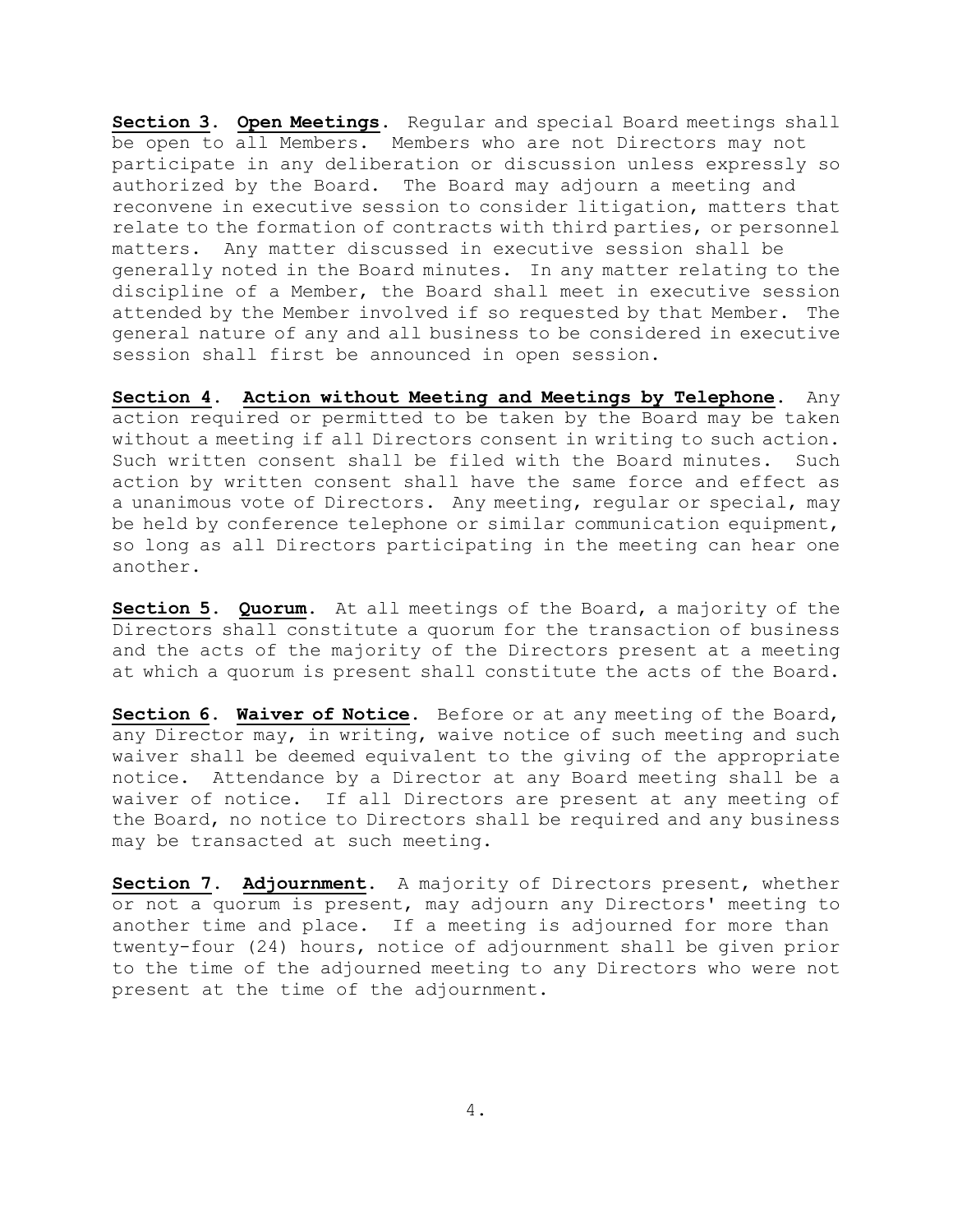**Section 3**. **Open Meetings**. Regular and special Board meetings shall be open to all Members. Members who are not Directors may not participate in any deliberation or discussion unless expressly so authorized by the Board. The Board may adjourn a meeting and reconvene in executive session to consider litigation, matters that relate to the formation of contracts with third parties, or personnel matters. Any matter discussed in executive session shall be generally noted in the Board minutes. In any matter relating to the discipline of a Member, the Board shall meet in executive session attended by the Member involved if so requested by that Member. The general nature of any and all business to be considered in executive session shall first be announced in open session.

**Section 4**. **Action without Meeting and Meetings by Telephone**. Any action required or permitted to be taken by the Board may be taken without a meeting if all Directors consent in writing to such action. Such written consent shall be filed with the Board minutes. Such action by written consent shall have the same force and effect as a unanimous vote of Directors. Any meeting, regular or special, may be held by conference telephone or similar communication equipment, so long as all Directors participating in the meeting can hear one another.

**Section 5. Quorum**. At all meetings of the Board, a majority of the Directors shall constitute a quorum for the transaction of business and the acts of the majority of the Directors present at a meeting at which a quorum is present shall constitute the acts of the Board.

**Section 6. Waiver of Notice**. Before or at any meeting of the Board, any Director may, in writing, waive notice of such meeting and such waiver shall be deemed equivalent to the giving of the appropriate notice. Attendance by a Director at any Board meeting shall be a waiver of notice. If all Directors are present at any meeting of the Board, no notice to Directors shall be required and any business may be transacted at such meeting.

**Section 7. Adjournment**. A majority of Directors present, whether or not a quorum is present, may adjourn any Directors' meeting to another time and place. If a meeting is adjourned for more than twenty-four (24) hours, notice of adjournment shall be given prior to the time of the adjourned meeting to any Directors who were not present at the time of the adjournment.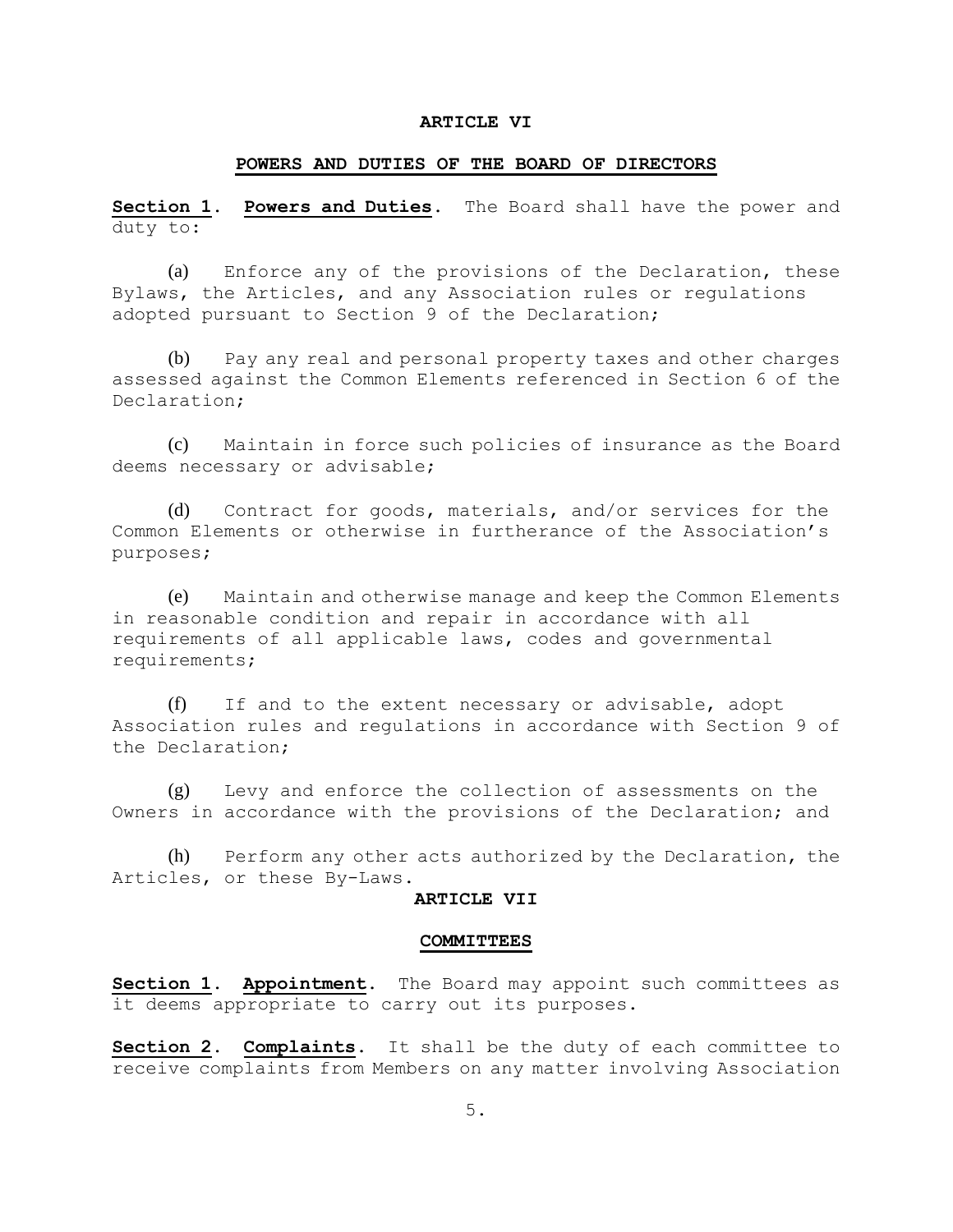### **ARTICLE VI**

### **POWERS AND DUTIES OF THE BOARD OF DIRECTORS**

**Section 1. Powers and Duties**. The Board shall have the power and duty to:

(a) Enforce any of the provisions of the Declaration, these Bylaws, the Articles, and any Association rules or regulations adopted pursuant to Section 9 of the Declaration;

(b) Pay any real and personal property taxes and other charges assessed against the Common Elements referenced in Section 6 of the Declaration;

(c) Maintain in force such policies of insurance as the Board deems necessary or advisable;

(d) Contract for goods, materials, and/or services for the Common Elements or otherwise in furtherance of the Association's purposes;

(e) Maintain and otherwise manage and keep the Common Elements in reasonable condition and repair in accordance with all requirements of all applicable laws, codes and governmental requirements;

(f) If and to the extent necessary or advisable, adopt Association rules and regulations in accordance with Section 9 of the Declaration;

(g) Levy and enforce the collection of assessments on the Owners in accordance with the provisions of the Declaration; and

(h) Perform any other acts authorized by the Declaration, the Articles, or these By-Laws.

### **ARTICLE VII**

#### **COMMITTEES**

**Section 1. Appointment**. The Board may appoint such committees as it deems appropriate to carry out its purposes.

**Section 2. Complaints**. It shall be the duty of each committee to receive complaints from Members on any matter involving Association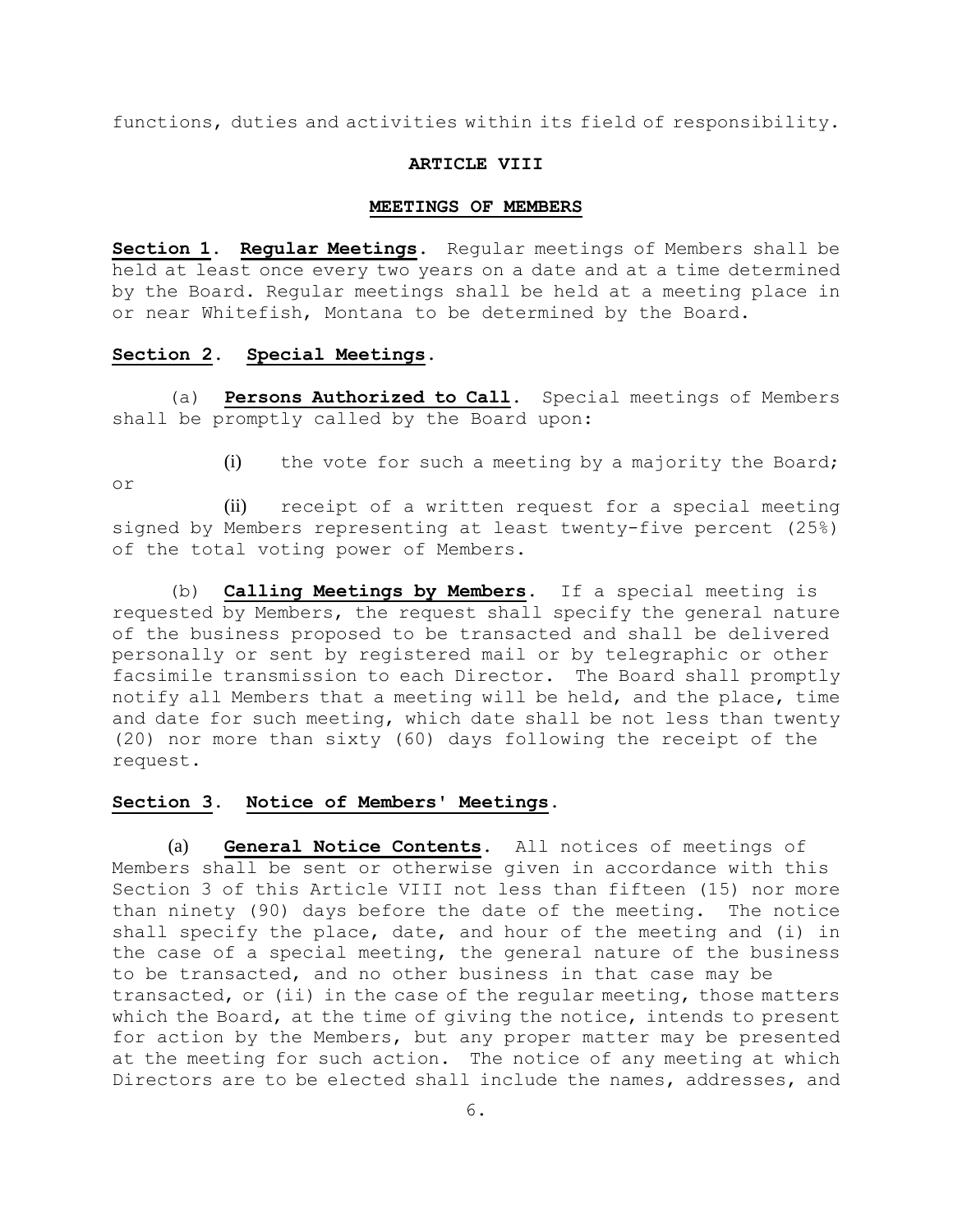functions, duties and activities within its field of responsibility.

### **ARTICLE VIII**

#### **MEETINGS OF MEMBERS**

**Section 1. Regular Meetings**. Regular meetings of Members shall be held at least once every two years on a date and at a time determined by the Board. Regular meetings shall be held at a meeting place in or near Whitefish, Montana to be determined by the Board.

### **Section 2. Special Meetings**.

(a) **Persons Authorized to Call**. Special meetings of Members shall be promptly called by the Board upon:

or

(i) the vote for such a meeting by a majority the Board;

(ii) receipt of a written request for a special meeting signed by Members representing at least twenty-five percent (25%) of the total voting power of Members.

(b) **Calling Meetings by Members**. If a special meeting is requested by Members, the request shall specify the general nature of the business proposed to be transacted and shall be delivered personally or sent by registered mail or by telegraphic or other facsimile transmission to each Director. The Board shall promptly notify all Members that a meeting will be held, and the place, time and date for such meeting, which date shall be not less than twenty (20) nor more than sixty (60) days following the receipt of the request.

# **Section 3. Notice of Members' Meetings.**

(a) **General Notice Contents**. All notices of meetings of Members shall be sent or otherwise given in accordance with this Section 3 of this Article VIII not less than fifteen (15) nor more than ninety (90) days before the date of the meeting. The notice shall specify the place, date, and hour of the meeting and (i) in the case of a special meeting, the general nature of the business to be transacted, and no other business in that case may be transacted, or (ii) in the case of the regular meeting, those matters which the Board, at the time of giving the notice, intends to present for action by the Members, but any proper matter may be presented at the meeting for such action. The notice of any meeting at which Directors are to be elected shall include the names, addresses, and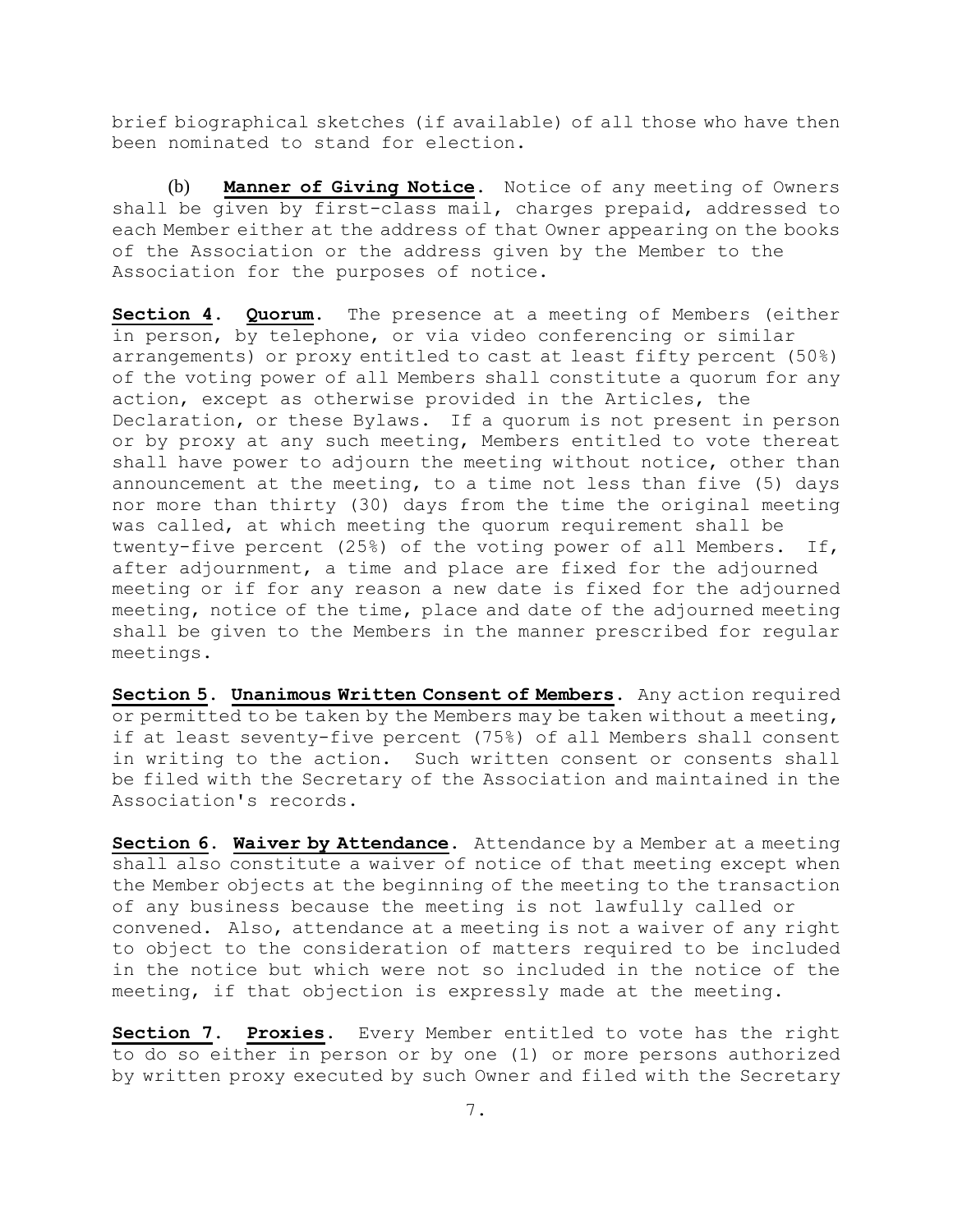brief biographical sketches (if available) of all those who have then been nominated to stand for election.

(b) **Manner of Giving Notice**. Notice of any meeting of Owners shall be given by first-class mail, charges prepaid, addressed to each Member either at the address of that Owner appearing on the books of the Association or the address given by the Member to the Association for the purposes of notice.

**Section 4. Quorum**. The presence at a meeting of Members (either in person, by telephone, or via video conferencing or similar arrangements) or proxy entitled to cast at least fifty percent (50%) of the voting power of all Members shall constitute a quorum for any action, except as otherwise provided in the Articles, the Declaration, or these Bylaws. If a quorum is not present in person or by proxy at any such meeting, Members entitled to vote thereat shall have power to adjourn the meeting without notice, other than announcement at the meeting, to a time not less than five (5) days nor more than thirty (30) days from the time the original meeting was called, at which meeting the quorum requirement shall be twenty-five percent (25%) of the voting power of all Members. If, after adjournment, a time and place are fixed for the adjourned meeting or if for any reason a new date is fixed for the adjourned meeting, notice of the time, place and date of the adjourned meeting shall be given to the Members in the manner prescribed for regular meetings.

**Section 5. Unanimous Written Consent of Members**. Any action required or permitted to be taken by the Members may be taken without a meeting, if at least seventy-five percent (75%) of all Members shall consent in writing to the action. Such written consent or consents shall be filed with the Secretary of the Association and maintained in the Association's records.

**Section 6. Waiver by Attendance**. Attendance by a Member at a meeting shall also constitute a waiver of notice of that meeting except when the Member objects at the beginning of the meeting to the transaction of any business because the meeting is not lawfully called or convened. Also, attendance at a meeting is not a waiver of any right to object to the consideration of matters required to be included in the notice but which were not so included in the notice of the meeting, if that objection is expressly made at the meeting.

**Section 7. Proxies**. Every Member entitled to vote has the right to do so either in person or by one (1) or more persons authorized by written proxy executed by such Owner and filed with the Secretary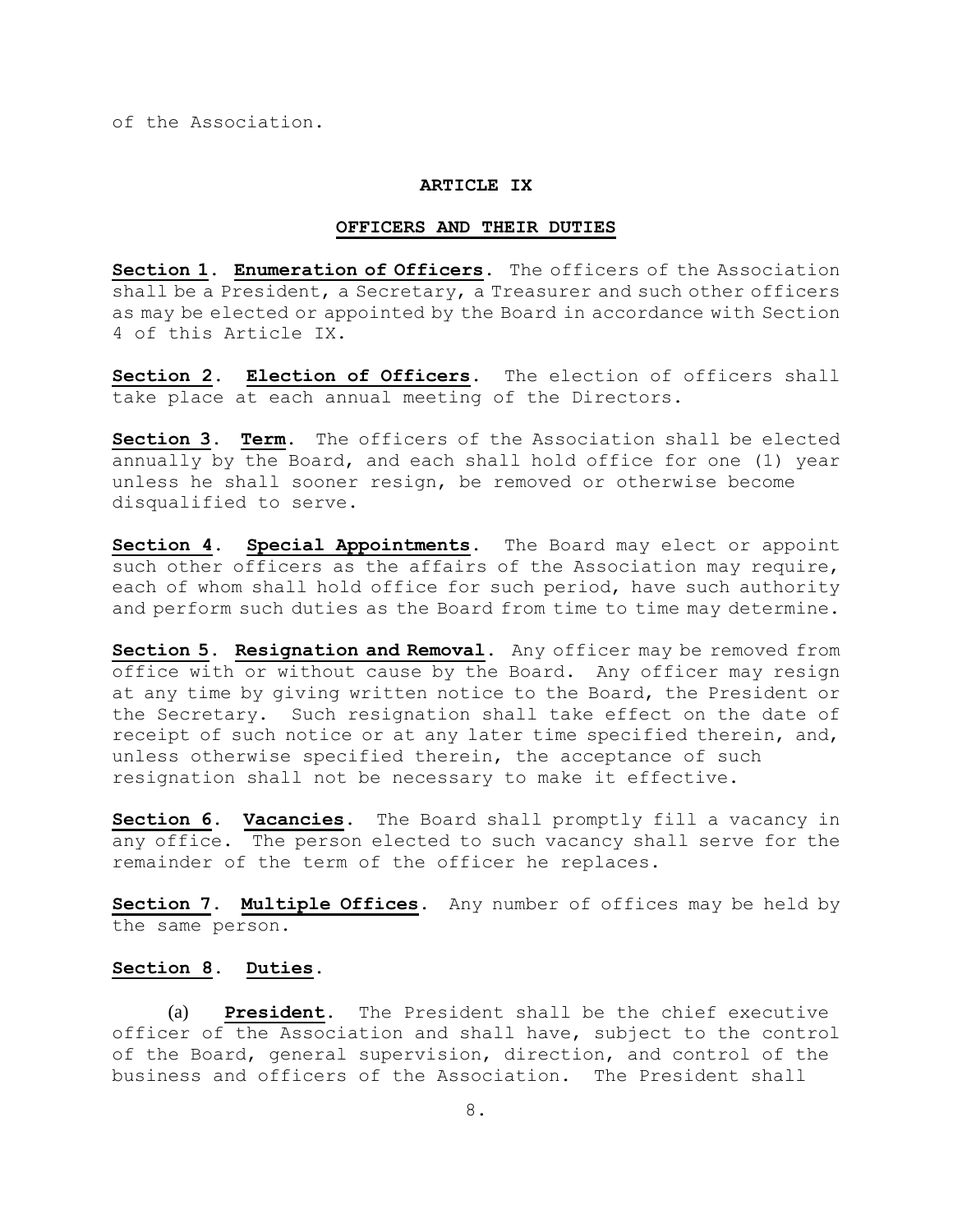of the Association.

### **ARTICLE IX**

#### **OFFICERS AND THEIR DUTIES**

**Section 1. Enumeration of Officers**. The officers of the Association shall be a President, a Secretary, a Treasurer and such other officers as may be elected or appointed by the Board in accordance with Section 4 of this Article IX.

**Section 2. Election of Officers**. The election of officers shall take place at each annual meeting of the Directors.

**Section 3. Term**. The officers of the Association shall be elected annually by the Board, and each shall hold office for one (1) year unless he shall sooner resign, be removed or otherwise become disqualified to serve.

**Section 4. Special Appointments**. The Board may elect or appoint such other officers as the affairs of the Association may require, each of whom shall hold office for such period, have such authority and perform such duties as the Board from time to time may determine.

**Section 5. Resignation and Removal**. Any officer may be removed from office with or without cause by the Board. Any officer may resign at any time by giving written notice to the Board, the President or the Secretary. Such resignation shall take effect on the date of receipt of such notice or at any later time specified therein, and, unless otherwise specified therein, the acceptance of such resignation shall not be necessary to make it effective.

**Section 6. Vacancies**. The Board shall promptly fill a vacancy in any office. The person elected to such vacancy shall serve for the remainder of the term of the officer he replaces.

**Section 7. Multiple Offices**. Any number of offices may be held by the same person.

# **Section 8. Duties**.

(a) **President**. The President shall be the chief executive officer of the Association and shall have, subject to the control of the Board, general supervision, direction, and control of the business and officers of the Association. The President shall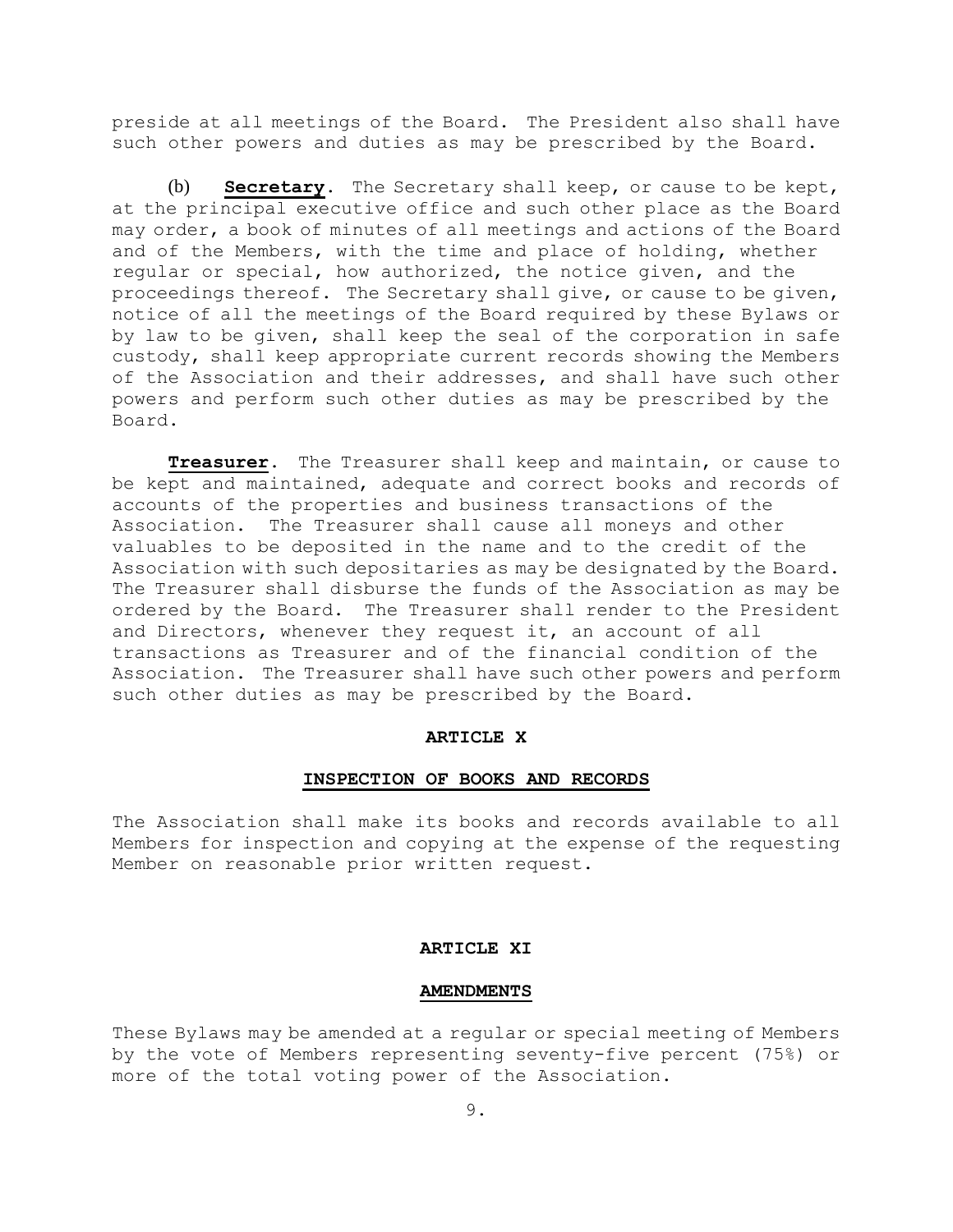preside at all meetings of the Board. The President also shall have such other powers and duties as may be prescribed by the Board.

(b) **Secretary**. The Secretary shall keep, or cause to be kept, at the principal executive office and such other place as the Board may order, a book of minutes of all meetings and actions of the Board and of the Members, with the time and place of holding, whether regular or special, how authorized, the notice given, and the proceedings thereof. The Secretary shall give, or cause to be given, notice of all the meetings of the Board required by these Bylaws or by law to be given, shall keep the seal of the corporation in safe custody, shall keep appropriate current records showing the Members of the Association and their addresses, and shall have such other powers and perform such other duties as may be prescribed by the Board.

**Treasurer**. The Treasurer shall keep and maintain, or cause to be kept and maintained, adequate and correct books and records of accounts of the properties and business transactions of the Association. The Treasurer shall cause all moneys and other valuables to be deposited in the name and to the credit of the Association with such depositaries as may be designated by the Board. The Treasurer shall disburse the funds of the Association as may be ordered by the Board. The Treasurer shall render to the President and Directors, whenever they request it, an account of all transactions as Treasurer and of the financial condition of the Association. The Treasurer shall have such other powers and perform such other duties as may be prescribed by the Board.

### **ARTICLE X**

### **INSPECTION OF BOOKS AND RECORDS**

The Association shall make its books and records available to all Members for inspection and copying at the expense of the requesting Member on reasonable prior written request.

#### **ARTICLE XI**

#### **AMENDMENTS**

These Bylaws may be amended at a regular or special meeting of Members by the vote of Members representing seventy-five percent (75%) or more of the total voting power of the Association.